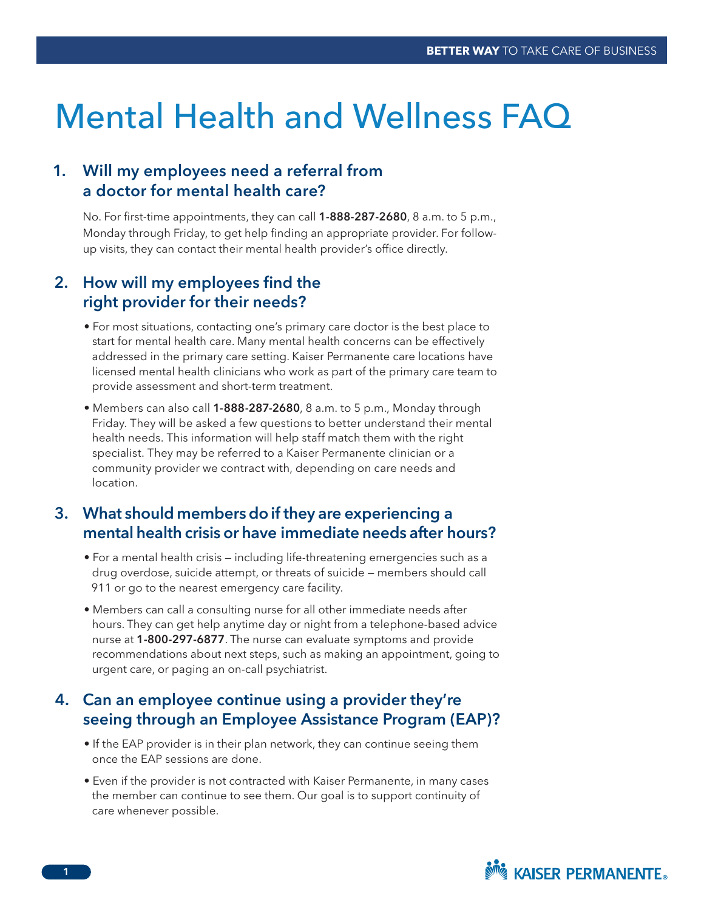# Mental Health and Wellness FAQ

## 1. Will my employees need a referral from a doctor for mental health care?

No. For first-time appointments, they can call **1-888-287-2680**, 8 a.m. to 5 p.m., Monday through Friday, to get help finding an appropriate provider. For followup visits, they can contact their mental health provider's office directly.

# 2. How will my employees find the right provider for their needs?

- For most situations, contacting one's primary care doctor is the best place to start for mental health care. Many mental health concerns can be effectively addressed in the primary care setting. Kaiser Permanente care locations have licensed mental health clinicians who work as part of the primary care team to provide assessment and short-term treatment.
- Members can also call 1-888-287-2680, 8 a.m. to 5 p.m., Monday through Friday. They will be asked a few questions to better understand their mental health needs. This information will help staff match them with the right specialist. They may be referred to a Kaiser Permanente clinician or a community provider we contract with, depending on care needs and location.

# 3. What should members do if they are experiencing a mental health crisis or have immediate needs after hours?

- For a mental health crisis including life-threatening emergencies such as a drug overdose, suicide attempt, or threats of suicide — members should call 911 or go to the nearest emergency care facility.
- Members can call a consulting nurse for all other immediate needs after hours. They can get help anytime day or night from a telephone-based advice nurse at 1-800-297-6877. The nurse can evaluate symptoms and provide recommendations about next steps, such as making an appointment, going to urgent care, or paging an on-call psychiatrist.

## 4. Can an employee continue using a provider they're seeing through an Employee Assistance Program (EAP)?

- If the EAP provider is in their plan network, they can continue seeing them once the EAP sessions are done.
- Even if the provider is not contracted with Kaiser Permanente, in many cases the member can continue to see them. Our goal is to support continuity of care whenever possible.

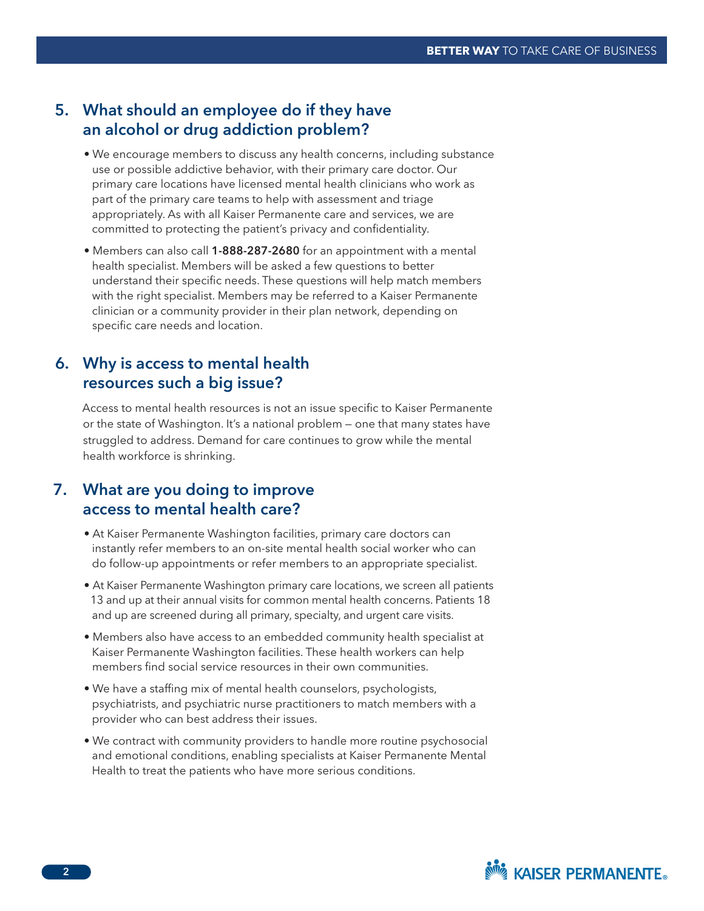### 5. What should an employee do if they have an alcohol or drug addiction problem?

- We encourage members to discuss any health concerns, including substance use or possible addictive behavior, with their primary care doctor. Our primary care locations have licensed mental health clinicians who work as part of the primary care teams to help with assessment and triage appropriately. As with all Kaiser Permanente care and services, we are committed to protecting the patient's privacy and confidentiality.
- Members can also call 1-888-287-2680 for an appointment with a mental health specialist. Members will be asked a few questions to better understand their specific needs. These questions will help match members with the right specialist. Members may be referred to a Kaiser Permanente clinician or a community provider in their plan network, depending on specific care needs and location.

#### 6. Why is access to mental health resources such a big issue?

Access to mental health resources is not an issue specific to Kaiser Permanente or the state of Washington. It's a national problem — one that many states have struggled to address. Demand for care continues to grow while the mental health workforce is shrinking.

# 7. What are you doing to improve access to mental health care?

- At Kaiser Permanente Washington facilities, primary care doctors can instantly refer members to an on-site mental health social worker who can do follow-up appointments or refer members to an appropriate specialist.
- At Kaiser Permanente Washington primary care locations, we screen all patients 13 and up at their annual visits for common mental health concerns. Patients 18 and up are screened during all primary, specialty, and urgent care visits.
- Members also have access to an embedded community health specialist at Kaiser Permanente Washington facilities. These health workers can help members find social service resources in their own communities.
- We have a staffing mix of mental health counselors, psychologists, psychiatrists, and psychiatric nurse practitioners to match members with a provider who can best address their issues.
- We contract with community providers to handle more routine psychosocial and emotional conditions, enabling specialists at Kaiser Permanente Mental Health to treat the patients who have more serious conditions.